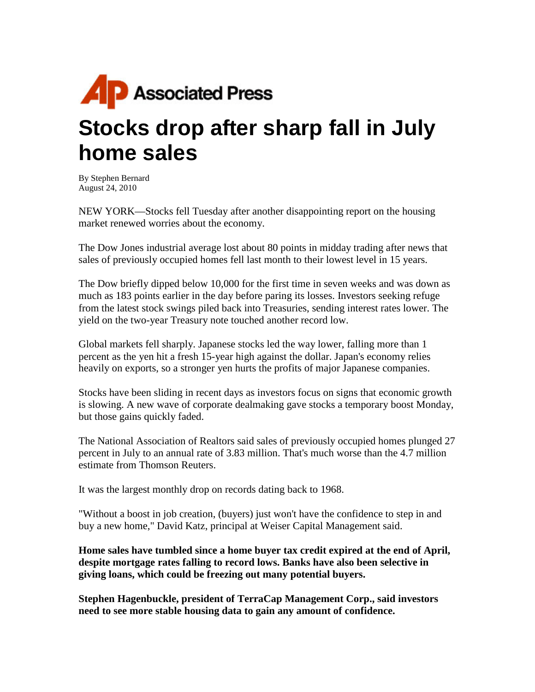

## **Stocks drop after sharp fall in July home sales**

By Stephen Bernard August 24, 2010

NEW YORK—Stocks fell Tuesday after another disappointing report on the housing market renewed worries about the economy.

The Dow Jones industrial average lost about 80 points in midday trading after news that sales of previously occupied homes fell last month to their lowest level in 15 years.

The Dow briefly dipped below 10,000 for the first time in seven weeks and was down as much as 183 points earlier in the day before paring its losses. Investors seeking refuge from the latest stock swings piled back into Treasuries, sending interest rates lower. The yield on the two-year Treasury note touched another record low.

Global markets fell sharply. Japanese stocks led the way lower, falling more than 1 percent as the yen hit a fresh 15-year high against the dollar. Japan's economy relies heavily on exports, so a stronger yen hurts the profits of major Japanese companies.

Stocks have been sliding in recent days as investors focus on signs that economic growth is slowing. A new wave of corporate dealmaking gave stocks a temporary boost Monday, but those gains quickly faded.

The National Association of Realtors said sales of previously occupied homes plunged 27 percent in July to an annual rate of 3.83 million. That's much worse than the 4.7 million estimate from Thomson Reuters.

It was the largest monthly drop on records dating back to 1968.

"Without a boost in job creation, (buyers) just won't have the confidence to step in and buy a new home," David Katz, principal at Weiser Capital Management said.

**Home sales have tumbled since a home buyer tax credit expired at the end of April, despite mortgage rates falling to record lows. Banks have also been selective in giving loans, which could be freezing out many potential buyers.** 

**Stephen Hagenbuckle, president of TerraCap Management Corp., said investors need to see more stable housing data to gain any amount of confidence.**